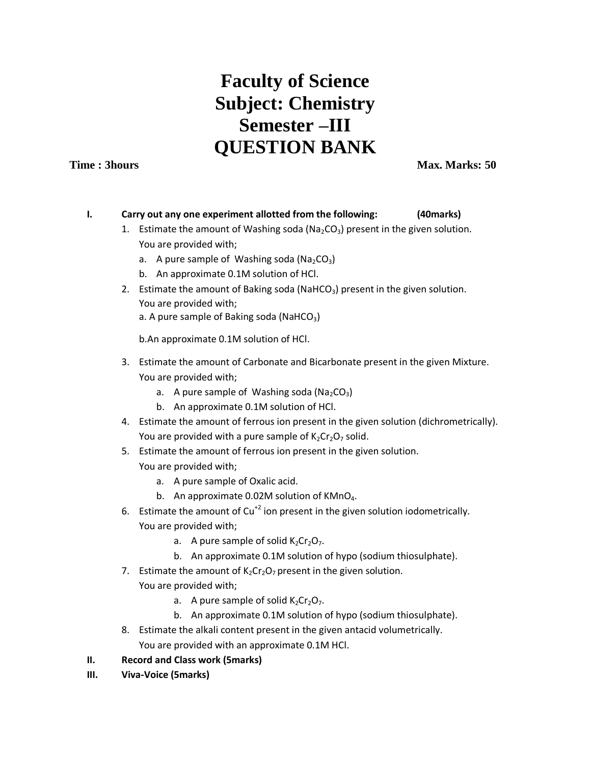# **Faculty of Science Subject: Chemistry Semester –III QUESTION BANK**

**Time : 3hours Max. Marks: 50** 

#### **I. Carry out any one experiment allotted from the following: (40marks)**

- 1. Estimate the amount of Washing soda ( $Na<sub>2</sub>CO<sub>3</sub>$ ) present in the given solution. You are provided with;
	- a. A pure sample of Washing soda ( $Na<sub>2</sub>CO<sub>3</sub>$ )
	- b. An approximate 0.1M solution of HCl.
- 2. Estimate the amount of Baking soda (NaHCO<sub>3</sub>) present in the given solution. You are provided with; a. A pure sample of Baking soda (NaHCO<sub>3</sub>)

b.An approximate 0.1M solution of HCl.

- 3. Estimate the amount of Carbonate and Bicarbonate present in the given Mixture. You are provided with;
	- a. A pure sample of Washing soda ( $Na<sub>2</sub>CO<sub>3</sub>$ )
	- b. An approximate 0.1M solution of HCl.
- 4. Estimate the amount of ferrous ion present in the given solution (dichrometrically). You are provided with a pure sample of  $K_2Cr_2O_7$  solid.
- 5. Estimate the amount of ferrous ion present in the given solution. You are provided with;
	- a. A pure sample of Oxalic acid.
	- b. An approximate 0.02M solution of  $KMD<sub>4</sub>$ .
- 6. Estimate the amount of  $Cu^{+2}$  ion present in the given solution iodometrically. You are provided with;
	- a. A pure sample of solid  $K_2Cr_2O_7$ .
	- b. An approximate 0.1M solution of hypo (sodium thiosulphate).
- 7. Estimate the amount of  $K_2Cr_2O_7$  present in the given solution. You are provided with;
	- a. A pure sample of solid  $K_2Cr_2O_7$ .
	- b. An approximate 0.1M solution of hypo (sodium thiosulphate).
- 8. Estimate the alkali content present in the given antacid volumetrically. You are provided with an approximate 0.1M HCl.

### **II. Record and Class work (5marks)**

**III. Viva-Voice (5marks)**